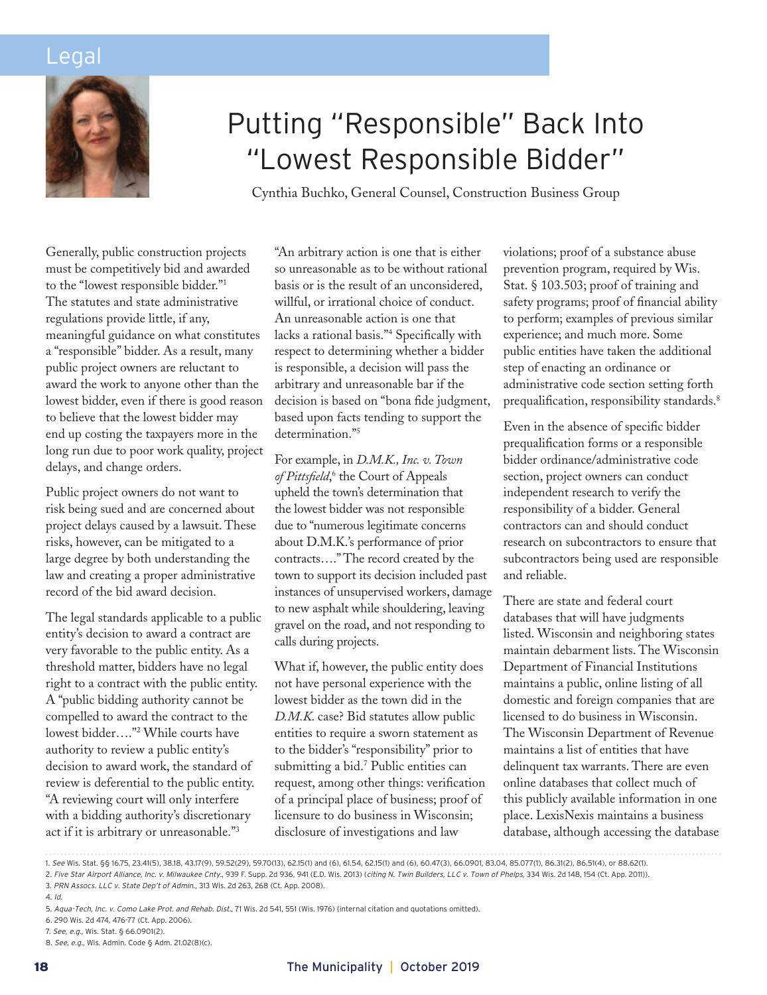## Legal



# Putting "Responsible" Back Into "Lowest Responsible Bidder"

Cynthia Buchko, General Counsel, Construction Business Group

Generally, public construction projects must be competitively bid and awarded to the "lowest responsible bidder."1 The statutes and state administrative regulations provide little, if any, meaningful guidance on what constitutes a "responsible" bidder. As a result, many public project owners are reluctant to award the work to anyone other than the lowest bidder, even if there is good reason to believe that the lowest bidder may end up costing the taxpayers more in the long run due to poor work quality, project delays, and change orders.

Public project owners do not want to risk being sued and are concerned about project delays caused by a lawsuit. These risks, however, can be mitigated to a large degree by both understanding the law and creating a proper administrative record of the bid award decision.

The legal standards applicable to a public entity's decision to award a contract are very favorable to the public entity. As a threshold matter, bidders have no legal right to a contract with the public entity. A "public bidding authority cannot be compelled to award the contract to the lowest bidder…."2 While courts have authority to review a public entity's decision to award work, the standard of review is deferential to the public entity. "A reviewing court will only interfere with a bidding authority's discretionary act if it is arbitrary or unreasonable."3

"An arbitrary action is one that is either so unreasonable as to be without rational basis or is the result of an unconsidered, willful, or irrational choice of conduct. An unreasonable action is one that lacks a rational basis."4 Specifically with respect to determining whether a bidder is responsible, a decision will pass the arbitrary and unreasonable bar if the decision is based on "bona fide judgment, based upon facts tending to support the determination."<sup>5</sup>

For example, in *D.M.K., Inc. v. Town*  of Pittsfield,<sup>6</sup> the Court of Appeals upheld the town's determination that the lowest bidder was not responsible due to "numerous legitimate concerns about D.M.K.'s performance of prior contracts…." The record created by the town to support its decision included past instances of unsupervised workers, damage to new asphalt while shouldering, leaving gravel on the road, and not responding to calls during projects.

What if, however, the public entity does not have personal experience with the lowest bidder as the town did in the *D.M.K.* case? Bid statutes allow public entities to require a sworn statement as to the bidder's "responsibility" prior to submitting a bid.7 Public entities can request, among other things: verification of a principal place of business; proof of licensure to do business in Wisconsin; disclosure of investigations and law

violations; proof of a substance abuse prevention program, required by Wis. Stat. § 103.503; proof of training and safety programs; proof of financial ability to perform; examples of previous similar experience; and much more. Some public entities have taken the additional step of enacting an ordinance or administrative code section setting forth prequalification, responsibility standards.<sup>8</sup>

Even in the absence of specific bidder prequalification forms or a responsible bidder ordinance/administrative code section, project owners can conduct independent research to verify the responsibility of a bidder. General contractors can and should conduct research on subcontractors to ensure that subcontractors being used are responsible and reliable.

There are state and federal court databases that will have judgments listed. Wisconsin and neighboring states maintain debarment lists. The Wisconsin Department of Financial Institutions maintains a public, online listing of all domestic and foreign companies that are licensed to do business in Wisconsin. The Wisconsin Department of Revenue maintains a list of entities that have delinquent tax warrants. There are even online databases that collect much of this publicly available information in one place. LexisNexis maintains a business database, although accessing the database

1. *See* Wis. Stat. §§ 16.75, 23.41(5), 38.18, 43.17(9), 59.52(29), 59.70(13), 62.15(1) and (6), 61.54, 62.15(1) and (6), 60.47(3), 66.0901, 83.04, 85.077(1), 86.31(2), 86.51(4), or 88.62(1). 2. *Five Star Airport Alliance, Inc. v. Milwaukee Cnty.*, 939 F. Supp. 2d 936, 941 (E.D. Wis. 2013) (*citing N. Twin Builders, LLC v. Town of Phelps*, 334 Wis. 2d 148, 154 (Ct. App. 2011)). 3. *PRN Assocs. LLC v. State Dep't of Admin.*, 313 Wis. 2d 263, 268 (Ct. App. 2008).

<sup>4.</sup> *Id.*

<sup>5.</sup> *Aqua-Tech, Inc. v. Como Lake Prot. and Rehab. Dist.*, 71 Wis. 2d 541, 551 (Wis. 1976) (internal citation and quotations omitted).

<sup>6. 290</sup> Wis. 2d 474, 476-77 (Ct. App. 2006).

<sup>7.</sup> *See, e.g.,* Wis. Stat. § 66.0901(2).

<sup>8.</sup> *See, e.g.,* Wis. Admin. Code § Adm. 21.02(8)(c).